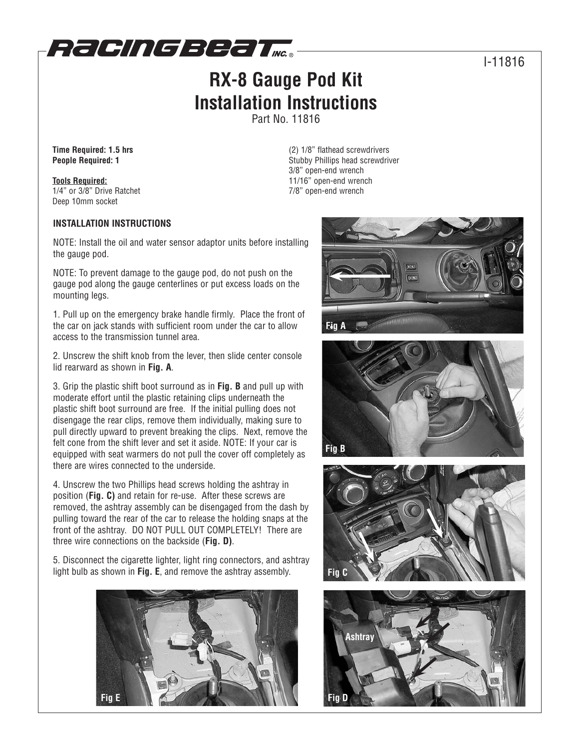

## **RX-8 Gauge Pod Kit Installation Instructions**

Part No. 11816

**Time Required: 1.5 hrs People Required: 1**

**Tools Required:** 1/4" or 3/8" Drive Ratchet Deep 10mm socket

## **INSTALLATION INSTRUCTIONS**

NOTE: Install the oil and water sensor adaptor units before installing the gauge pod.

NOTE: To prevent damage to the gauge pod, do not push on the gauge pod along the gauge centerlines or put excess loads on the mounting legs.

1. Pull up on the emergency brake handle firmly. Place the front of the car on jack stands with sufficient room under the car to allow access to the transmission tunnel area.

2. Unscrew the shift knob from the lever, then slide center console lid rearward as shown in **Fig. A**.

3. Grip the plastic shift boot surround as in **Fig. B** and pull up with moderate effort until the plastic retaining clips underneath the plastic shift boot surround are free. If the initial pulling does not disengage the rear clips, remove them individually, making sure to pull directly upward to prevent breaking the clips. Next, remove the felt cone from the shift lever and set it aside. NOTE: If your car is equipped with seat warmers do not pull the cover off completely as there are wires connected to the underside.

4. Unscrew the two Phillips head screws holding the ashtray in position (**Fig. C)** and retain for re-use. After these screws are removed, the ashtray assembly can be disengaged from the dash by pulling toward the rear of the car to release the holding snaps at the front of the ashtray. DO NOT PULL OUT COMPLETELY! There are three wire connections on the backside (**Fig. D)**.

5. Disconnect the cigarette lighter, light ring connectors, and ashtray light bulb as shown in **Fig. E**, and remove the ashtray assembly.



(2) 1/8" flathead screwdrivers Stubby Phillips head screwdriver 3/8" open-end wrench 11/16" open-end wrench 7/8" open-end wrench









## I-11816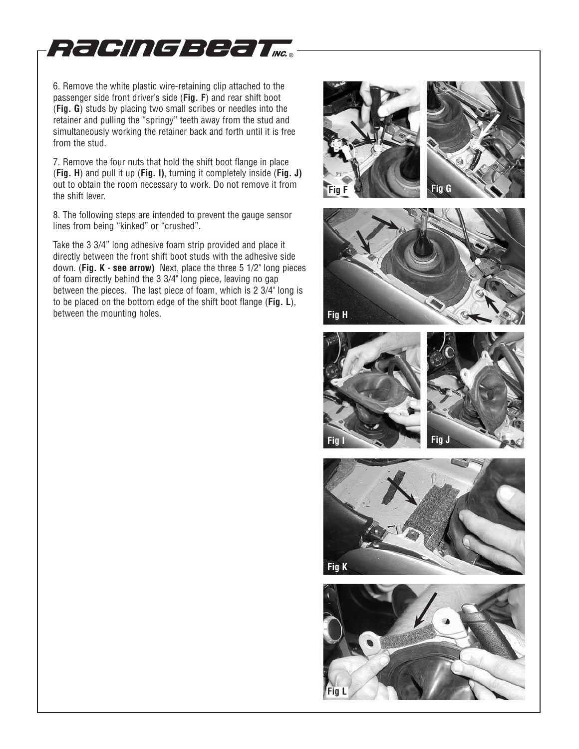

6. Remove the white plastic wire-retaining clip attached to the passenger side front driver's side (**Fig. F**) and rear shift boot (**Fig. G**) studs by placing two small scribes or needles into the retainer and pulling the "springy" teeth away from the stud and simultaneously working the retainer back and forth until it is free from the stud.

7. Remove the four nuts that hold the shift boot flange in place (**Fig. H**) and pull it up (**Fig. I)**, turning it completely inside (**Fig. J)** out to obtain the room necessary to work. Do not remove it from the shift lever.

8. The following steps are intended to prevent the gauge sensor lines from being "kinked" or "crushed".

Take the 3 3/4" long adhesive foam strip provided and place it directly between the front shift boot studs with the adhesive side down. (**Fig. K - see arrow)** Next, place the three 5 1/2" long pieces of foam directly behind the 3 3/4" long piece, leaving no gap between the pieces. The last piece of foam, which is 2 3/4" long is to be placed on the bottom edge of the shift boot flange (**Fig. L**), between the mounting holes.









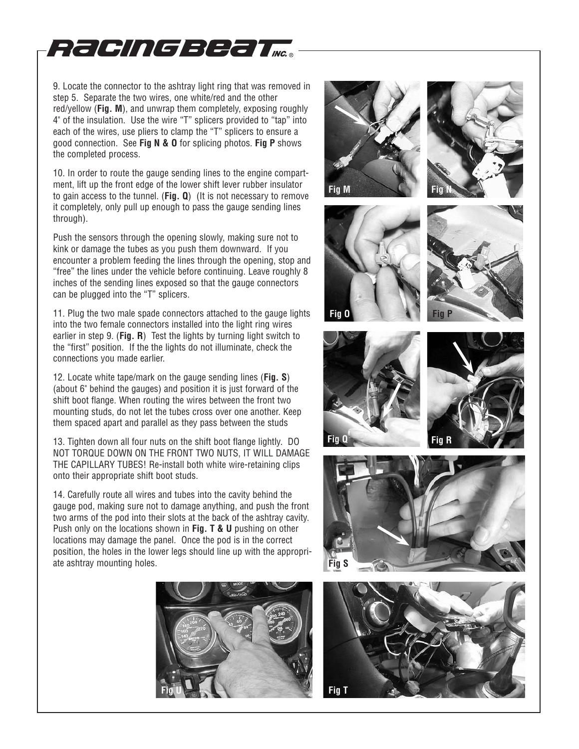

9. Locate the connector to the ashtray light ring that was removed in step 5. Separate the two wires, one white/red and the other red/yellow (**Fig. M**), and unwrap them completely, exposing roughly 4" of the insulation. Use the wire "T" splicers provided to "tap" into each of the wires, use pliers to clamp the "T" splicers to ensure a good connection. See **Fig N & O** for splicing photos. **Fig P** shows the completed process.

10. In order to route the gauge sending lines to the engine compartment, lift up the front edge of the lower shift lever rubber insulator to gain access to the tunnel. (**Fig. Q**) (It is not necessary to remove it completely, only pull up enough to pass the gauge sending lines through).

Push the sensors through the opening slowly, making sure not to kink or damage the tubes as you push them downward. If you encounter a problem feeding the lines through the opening, stop and "free" the lines under the vehicle before continuing. Leave roughly 8 inches of the sending lines exposed so that the gauge connectors can be plugged into the "T" splicers.

11. Plug the two male spade connectors attached to the gauge lights into the two female connectors installed into the light ring wires earlier in step 9. (**Fig. R**) Test the lights by turning light switch to the "first" position. If the the lights do not illuminate, check the connections you made earlier.

12. Locate white tape/mark on the gauge sending lines (**Fig. S**) (about 6" behind the gauges) and position it is just forward of the shift boot flange. When routing the wires between the front two mounting studs, do not let the tubes cross over one another. Keep them spaced apart and parallel as they pass between the studs

13. Tighten down all four nuts on the shift boot flange lightly. DO NOT TORQUE DOWN ON THE FRONT TWO NUTS, IT WILL DAMAGE THE CAPILLARY TUBES! Re-install both white wire-retaining clips onto their appropriate shift boot studs.

14. Carefully route all wires and tubes into the cavity behind the gauge pod, making sure not to damage anything, and push the front two arms of the pod into their slots at the back of the ashtray cavity. Push only on the locations shown in **Fig. T & U** pushing on other locations may damage the panel. Once the pod is in the correct position, the holes in the lower legs should line up with the appropriate ashtray mounting holes.